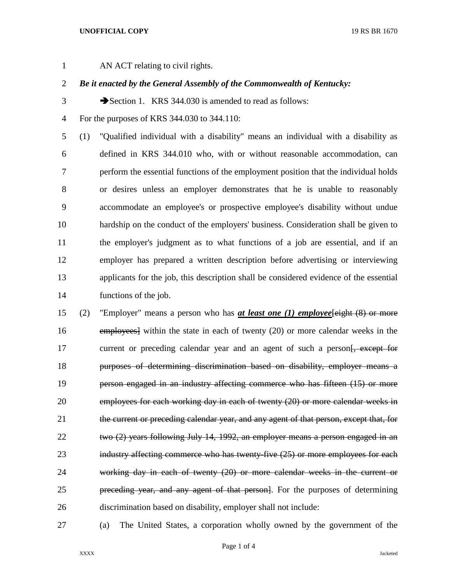## **UNOFFICIAL COPY** 19 RS BR 1670

AN ACT relating to civil rights.

*Be it enacted by the General Assembly of the Commonwealth of Kentucky:*

3 Section 1. KRS 344.030 is amended to read as follows:

For the purposes of KRS 344.030 to 344.110:

 (1) "Qualified individual with a disability" means an individual with a disability as defined in KRS 344.010 who, with or without reasonable accommodation, can perform the essential functions of the employment position that the individual holds or desires unless an employer demonstrates that he is unable to reasonably accommodate an employee's or prospective employee's disability without undue hardship on the conduct of the employers' business. Consideration shall be given to the employer's judgment as to what functions of a job are essential, and if an employer has prepared a written description before advertising or interviewing applicants for the job, this description shall be considered evidence of the essential functions of the job.

 (2) "Employer" means a person who has *at least one (1) employee*[eight (8) or more employees] within the state in each of twenty (20) or more calendar weeks in the 17 current or preceding calendar year and an agent of such a person<del>[, except for</del> purposes of determining discrimination based on disability, employer means a person engaged in an industry affecting commerce who has fifteen (15) or more employees for each working day in each of twenty (20) or more calendar weeks in 21 the current or preceding calendar year, and any agent of that person, except that, for two (2) years following July 14, 1992, an employer means a person engaged in an 23 industry affecting commerce who has twenty-five (25) or more employees for each working day in each of twenty (20) or more calendar weeks in the current or preceding year, and any agent of that person]. For the purposes of determining discrimination based on disability, employer shall not include:

(a) The United States, a corporation wholly owned by the government of the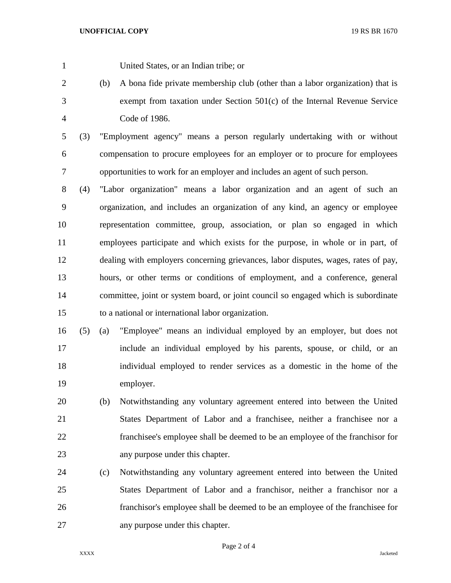United States, or an Indian tribe; or

- (b) A bona fide private membership club (other than a labor organization) that is exempt from taxation under Section 501(c) of the Internal Revenue Service Code of 1986.
- (3) "Employment agency" means a person regularly undertaking with or without compensation to procure employees for an employer or to procure for employees opportunities to work for an employer and includes an agent of such person.
- (4) "Labor organization" means a labor organization and an agent of such an organization, and includes an organization of any kind, an agency or employee representation committee, group, association, or plan so engaged in which employees participate and which exists for the purpose, in whole or in part, of dealing with employers concerning grievances, labor disputes, wages, rates of pay, hours, or other terms or conditions of employment, and a conference, general committee, joint or system board, or joint council so engaged which is subordinate to a national or international labor organization.
- (5) (a) "Employee" means an individual employed by an employer, but does not include an individual employed by his parents, spouse, or child, or an individual employed to render services as a domestic in the home of the employer.
- (b) Notwithstanding any voluntary agreement entered into between the United States Department of Labor and a franchisee, neither a franchisee nor a franchisee's employee shall be deemed to be an employee of the franchisor for any purpose under this chapter.
- (c) Notwithstanding any voluntary agreement entered into between the United States Department of Labor and a franchisor, neither a franchisor nor a franchisor's employee shall be deemed to be an employee of the franchisee for any purpose under this chapter.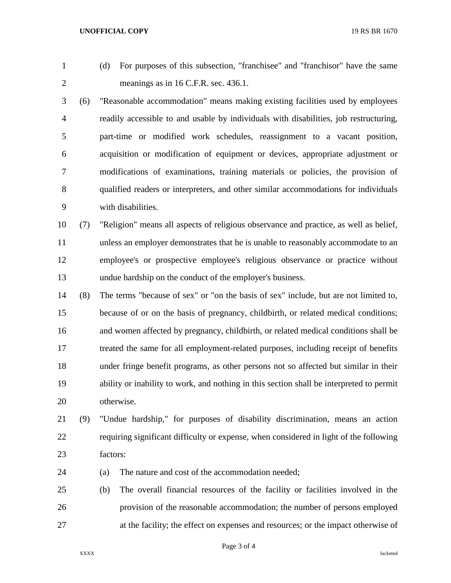**UNOFFICIAL COPY** 19 RS BR 1670

- 
- (d) For purposes of this subsection, "franchisee" and "franchisor" have the same meanings as in 16 C.F.R. sec. 436.1.
- (6) "Reasonable accommodation" means making existing facilities used by employees readily accessible to and usable by individuals with disabilities, job restructuring, part-time or modified work schedules, reassignment to a vacant position, acquisition or modification of equipment or devices, appropriate adjustment or modifications of examinations, training materials or policies, the provision of qualified readers or interpreters, and other similar accommodations for individuals with disabilities.
- (7) "Religion" means all aspects of religious observance and practice, as well as belief, unless an employer demonstrates that he is unable to reasonably accommodate to an employee's or prospective employee's religious observance or practice without undue hardship on the conduct of the employer's business.
- (8) The terms "because of sex" or "on the basis of sex" include, but are not limited to, because of or on the basis of pregnancy, childbirth, or related medical conditions; and women affected by pregnancy, childbirth, or related medical conditions shall be treated the same for all employment-related purposes, including receipt of benefits under fringe benefit programs, as other persons not so affected but similar in their ability or inability to work, and nothing in this section shall be interpreted to permit otherwise.
- (9) "Undue hardship," for purposes of disability discrimination, means an action requiring significant difficulty or expense, when considered in light of the following factors:
- (a) The nature and cost of the accommodation needed;
- (b) The overall financial resources of the facility or facilities involved in the provision of the reasonable accommodation; the number of persons employed at the facility; the effect on expenses and resources; or the impact otherwise of